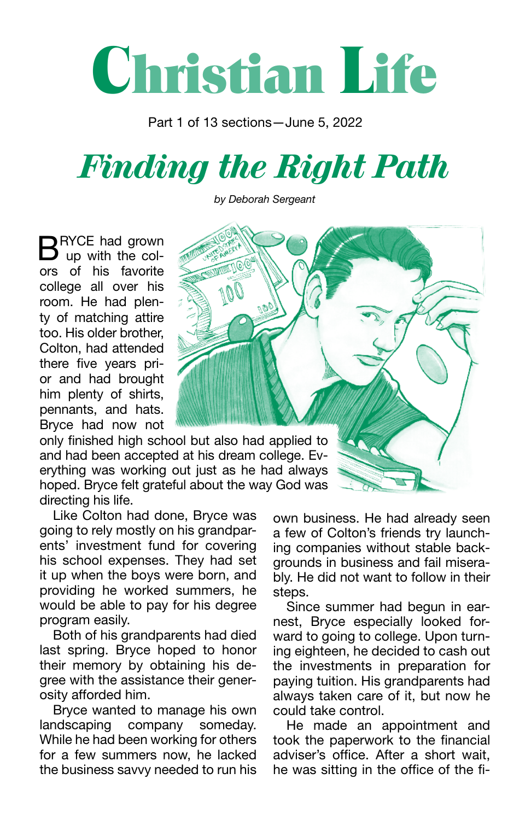## **Christian Life**

Part 1 of 13 sections—June 5, 2022

## *Finding the Right Path*

*by Deborah Sergeant*

BRYCE had grown<br>B up with the colors of his favorite college all over his room. He had plenty of matching attire too. His older brother, Colton, had attended there five years prior and had brought him plenty of shirts, pennants, and hats. Bryce had now not

directing his life. only finished high school but also had applied to and had been accepted at his dream college. Everything was working out just as he had always hoped. Bryce felt grateful about the way God was

Like Colton had done, Bryce was going to rely mostly on his grandparents' investment fund for covering his school expenses. They had set it up when the boys were born, and providing he worked summers, he would be able to pay for his degree program easily.

Both of his grandparents had died last spring. Bryce hoped to honor their memory by obtaining his degree with the assistance their generosity afforded him.

Bryce wanted to manage his own landscaping company someday. While he had been working for others for a few summers now, he lacked the business savvy needed to run his

own business. He had already seen a few of Colton's friends try launching companies without stable backgrounds in business and fail miserably. He did not want to follow in their steps.

Since summer had begun in earnest, Bryce especially looked forward to going to college. Upon turning eighteen, he decided to cash out the investments in preparation for paying tuition. His grandparents had always taken care of it, but now he could take control.

He made an appointment and took the paperwork to the financial adviser's office. After a short wait, he was sitting in the office of the fi-

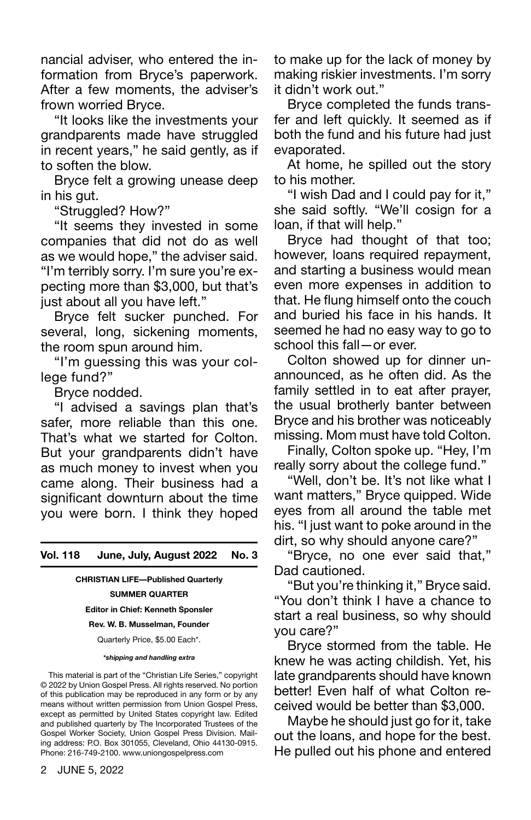nancial adviser, who entered the information from Bryce's paperwork. After a few moments, the adviser's frown worried Bryce.

"It looks like the investments your grandparents made have struggled in recent years," he said gently, as if to soften the blow.

Bryce felt a growing unease deep in his gut.

"Struggled? How?"

"It seems they invested in some companies that did not do as well as we would hope," the adviser said. "I'm terribly sorry. I'm sure you're expecting more than \$3,000, but that's just about all you have left."

Bryce felt sucker punched. For several, long, sickening moments, the room spun around him.

"I'm guessing this was your college fund?"

Bryce nodded.

"I advised a savings plan that's safer, more reliable than this one. That's what we started for Colton. But your grandparents didn't have as much money to invest when you came along. Their business had a significant downturn about the time you were born. I think they hoped

**Vol. 118 June, July, August 2022 No. 3**

**CHRISTIAN LIFE—Published Quarterly SUMMER QUARTER**

**Editor in Chief: Kenneth Sponsler** 

**Rev. W. B. Musselman, Founder**

Quarterly Price, \$5.00 Each\*.

*\*shipping and handling extra*

This material is part of the "Christian Life Series," copyright © 2022 by Union Gospel Press. All rights reserved. No portion of this publication may be reproduced in any form or by any means without written permission from Union Gospel Press, except as permitted by United States copyright law. Edited and published quarterly by The Incorporated Trustees of the Gospel Worker Society, Union Gospel Press Division. Mailing address: P.O. Box 301055, Cleveland, Ohio 44130-0915. Phone: 216-749-2100. www.uniongospelpress.com

to make up for the lack of money by making riskier investments. I'm sorry it didn't work out."

Bryce completed the funds transfer and left quickly. It seemed as if both the fund and his future had just evaporated.

At home, he spilled out the story to his mother.

"I wish Dad and I could pay for it," she said softly. "We'll cosign for a loan, if that will help."

Bryce had thought of that too; however, loans required repayment, and starting a business would mean even more expenses in addition to that. He flung himself onto the couch and buried his face in his hands. It seemed he had no easy way to go to school this fall—or ever.

Colton showed up for dinner unannounced, as he often did. As the family settled in to eat after prayer, the usual brotherly banter between Bryce and his brother was noticeably missing. Mom must have told Colton.

Finally, Colton spoke up. "Hey, I'm really sorry about the college fund."

"Well, don't be. It's not like what I want matters," Bryce quipped. Wide eyes from all around the table met his. "I just want to poke around in the dirt, so why should anyone care?"

"Bryce, no one ever said that," Dad cautioned.

"But you're thinking it," Bryce said. "You don't think I have a chance to start a real business, so why should you care?"

Bryce stormed from the table. He knew he was acting childish. Yet, his late grandparents should have known better! Even half of what Colton received would be better than \$3,000.

Maybe he should just go for it, take out the loans, and hope for the best. He pulled out his phone and entered